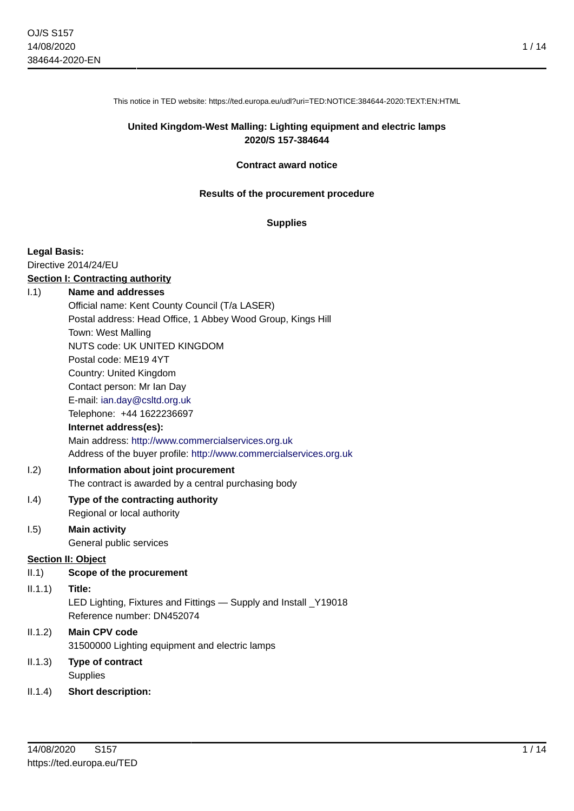This notice in TED website: https://ted.europa.eu/udl?uri=TED:NOTICE:384644-2020:TEXT:EN:HTML

### **United Kingdom-West Malling: Lighting equipment and electric lamps 2020/S 157-384644**

#### **Contract award notice**

#### **Results of the procurement procedure**

#### **Supplies**

#### **Legal Basis:**

Directive 2014/24/EU

#### **Section I: Contracting authority**

#### I.1) **Name and addresses**

Official name: Kent County Council (T/a LASER) Postal address: Head Office, 1 Abbey Wood Group, Kings Hill Town: West Malling NUTS code: UK UNITED KINGDOM Postal code: ME19 4YT Country: United Kingdom Contact person: Mr Ian Day E-mail: [ian.day@csltd.org.uk](mailto:ian.day@csltd.org.uk) Telephone: +44 1622236697 **Internet address(es):** Main address:<http://www.commercialservices.org.uk>

Address of the buyer profile: <http://www.commercialservices.org.uk>

### I.2) **Information about joint procurement**

The contract is awarded by a central purchasing body

# I.4) **Type of the contracting authority**

Regional or local authority

#### I.5) **Main activity** General public services

### **Section II: Object**

II.1) **Scope of the procurement**

### II.1.1) **Title:**

LED Lighting, Fixtures and Fittings — Supply and Install \_Y19018 Reference number: DN452074

# II.1.2) **Main CPV code** 31500000 Lighting equipment and electric lamps

- II.1.3) **Type of contract Supplies**
- II.1.4) **Short description:**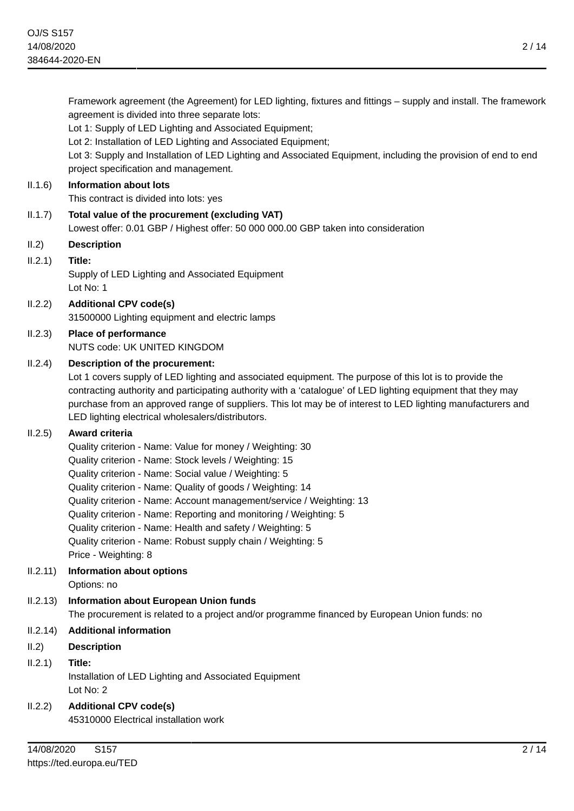agreement is divided into three separate lots:

Lot 1: Supply of LED Lighting and Associated Equipment; Lot 2: Installation of LED Lighting and Associated Equipment; Lot 3: Supply and Installation of LED Lighting and Associated Equipment, including the provision of end to end project specification and management. II.1.6) **Information about lots** This contract is divided into lots: yes II.1.7) **Total value of the procurement (excluding VAT)** Lowest offer: 0.01 GBP / Highest offer: 50 000 000.00 GBP taken into consideration II.2) **Description** II.2.1) **Title:** Supply of LED Lighting and Associated Equipment Lot No: 1 II.2.2) **Additional CPV code(s)** 31500000 Lighting equipment and electric lamps II.2.3) **Place of performance** NUTS code: UK UNITED KINGDOM II.2.4) **Description of the procurement:** Lot 1 covers supply of LED lighting and associated equipment. The purpose of this lot is to provide the contracting authority and participating authority with a 'catalogue' of LED lighting equipment that they may purchase from an approved range of suppliers. This lot may be of interest to LED lighting manufacturers and LED lighting electrical wholesalers/distributors. II.2.5) **Award criteria** Quality criterion - Name: Value for money / Weighting: 30 Quality criterion - Name: Stock levels / Weighting: 15 Quality criterion - Name: Social value / Weighting: 5 Quality criterion - Name: Quality of goods / Weighting: 14 Quality criterion - Name: Account management/service / Weighting: 13 Quality criterion - Name: Reporting and monitoring / Weighting: 5 Quality criterion - Name: Health and safety / Weighting: 5 Quality criterion - Name: Robust supply chain / Weighting: 5 Price - Weighting: 8 II.2.11) **Information about options** Options: no II.2.13) **Information about European Union funds** The procurement is related to a project and/or programme financed by European Union funds: no II.2.14) **Additional information** II.2) **Description** II.2.1) **Title:**

Framework agreement (the Agreement) for LED lighting, fixtures and fittings – supply and install. The framework

Installation of LED Lighting and Associated Equipment Lot No: 2

II.2.2) **Additional CPV code(s)** 45310000 Electrical installation work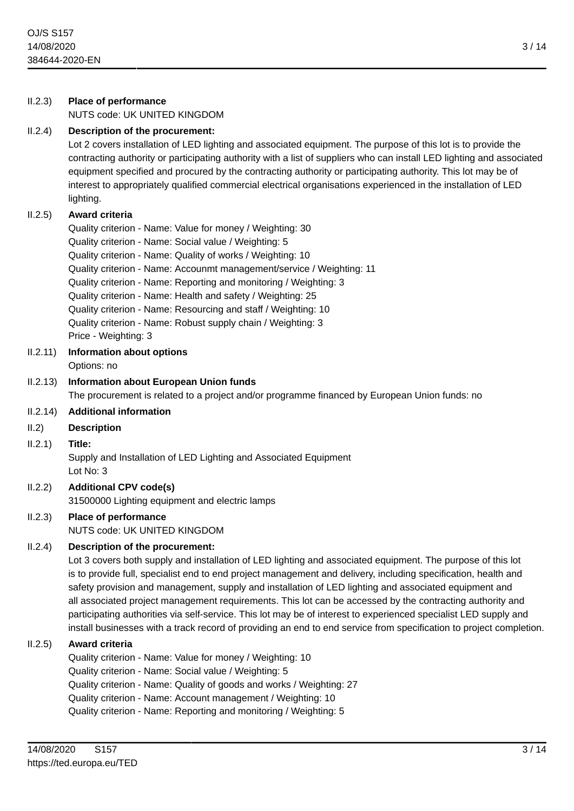II.2.3) **Place of performance**

|          | NUTS code: UK UNITED KINGDOM                                                                                                                                                                                                                                                                                                                                                                                                                                                                                                                                                                                                                                                                   |
|----------|------------------------------------------------------------------------------------------------------------------------------------------------------------------------------------------------------------------------------------------------------------------------------------------------------------------------------------------------------------------------------------------------------------------------------------------------------------------------------------------------------------------------------------------------------------------------------------------------------------------------------------------------------------------------------------------------|
| II.2.4)  | Description of the procurement:<br>Lot 2 covers installation of LED lighting and associated equipment. The purpose of this lot is to provide the<br>contracting authority or participating authority with a list of suppliers who can install LED lighting and associated<br>equipment specified and procured by the contracting authority or participating authority. This lot may be of<br>interest to appropriately qualified commercial electrical organisations experienced in the installation of LED<br>lighting.                                                                                                                                                                       |
| II.2.5)  | Award criteria<br>Quality criterion - Name: Value for money / Weighting: 30                                                                                                                                                                                                                                                                                                                                                                                                                                                                                                                                                                                                                    |
|          | Quality criterion - Name: Social value / Weighting: 5                                                                                                                                                                                                                                                                                                                                                                                                                                                                                                                                                                                                                                          |
|          | Quality criterion - Name: Quality of works / Weighting: 10<br>Quality criterion - Name: Accounmt management/service / Weighting: 11                                                                                                                                                                                                                                                                                                                                                                                                                                                                                                                                                            |
|          | Quality criterion - Name: Reporting and monitoring / Weighting: 3                                                                                                                                                                                                                                                                                                                                                                                                                                                                                                                                                                                                                              |
|          | Quality criterion - Name: Health and safety / Weighting: 25                                                                                                                                                                                                                                                                                                                                                                                                                                                                                                                                                                                                                                    |
|          | Quality criterion - Name: Resourcing and staff / Weighting: 10<br>Quality criterion - Name: Robust supply chain / Weighting: 3                                                                                                                                                                                                                                                                                                                                                                                                                                                                                                                                                                 |
|          | Price - Weighting: 3                                                                                                                                                                                                                                                                                                                                                                                                                                                                                                                                                                                                                                                                           |
| II.2.11) | <b>Information about options</b>                                                                                                                                                                                                                                                                                                                                                                                                                                                                                                                                                                                                                                                               |
| II.2.13) | Options: no<br>Information about European Union funds                                                                                                                                                                                                                                                                                                                                                                                                                                                                                                                                                                                                                                          |
|          | The procurement is related to a project and/or programme financed by European Union funds: no                                                                                                                                                                                                                                                                                                                                                                                                                                                                                                                                                                                                  |
| II.2.14) | <b>Additional information</b>                                                                                                                                                                                                                                                                                                                                                                                                                                                                                                                                                                                                                                                                  |
| II.2)    | <b>Description</b>                                                                                                                                                                                                                                                                                                                                                                                                                                                                                                                                                                                                                                                                             |
| II.2.1)  | Title:<br>Supply and Installation of LED Lighting and Associated Equipment<br>Lot No: 3                                                                                                                                                                                                                                                                                                                                                                                                                                                                                                                                                                                                        |
| II.2.2)  | <b>Additional CPV code(s)</b>                                                                                                                                                                                                                                                                                                                                                                                                                                                                                                                                                                                                                                                                  |
| II.2.3)  | 31500000 Lighting equipment and electric lamps<br><b>Place of performance</b>                                                                                                                                                                                                                                                                                                                                                                                                                                                                                                                                                                                                                  |
|          | NUTS code: UK UNITED KINGDOM                                                                                                                                                                                                                                                                                                                                                                                                                                                                                                                                                                                                                                                                   |
| II.2.4)  | Description of the procurement:                                                                                                                                                                                                                                                                                                                                                                                                                                                                                                                                                                                                                                                                |
|          | Lot 3 covers both supply and installation of LED lighting and associated equipment. The purpose of this lot<br>is to provide full, specialist end to end project management and delivery, including specification, health and<br>safety provision and management, supply and installation of LED lighting and associated equipment and<br>all associated project management requirements. This lot can be accessed by the contracting authority and<br>participating authorities via self-service. This lot may be of interest to experienced specialist LED supply and<br>install businesses with a track record of providing an end to end service from specification to project completion. |
| II.2.5)  | Award criteria<br>Quality criterion - Name: Value for money / Weighting: 10<br>Quality criterion - Name: Social value / Weighting: 5<br>Quality criterion - Name: Quality of goods and works / Weighting: 27<br>Quality criterion - Name: Account management / Weighting: 10<br>Quality criterion - Name: Reporting and monitoring / Weighting: 5                                                                                                                                                                                                                                                                                                                                              |
|          |                                                                                                                                                                                                                                                                                                                                                                                                                                                                                                                                                                                                                                                                                                |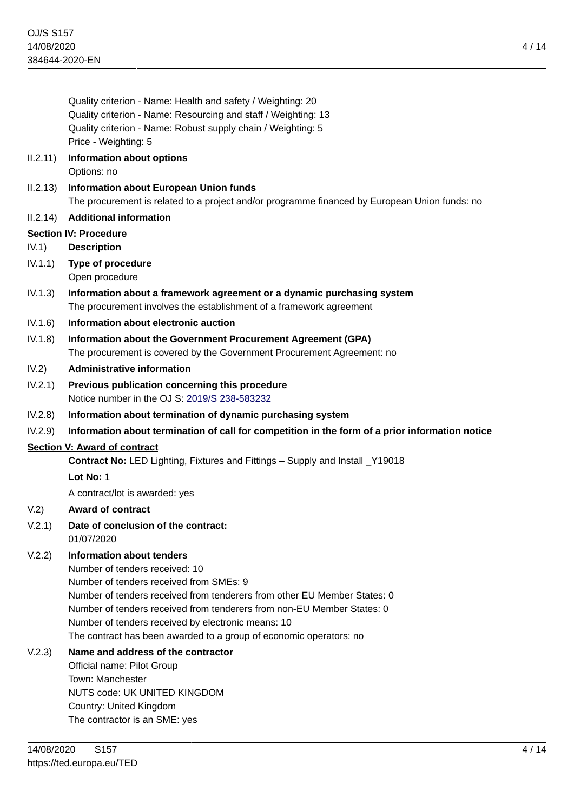Quality criterion - Name: Health and safety / Weighting: 20 Quality criterion - Name: Resourcing and staff / Weighting: 13 Quality criterion - Name: Robust supply chain / Weighting: 5 Price - Weighting: 5

### II.2.11) **Information about options** Options: no

II.2.13) **Information about European Union funds**

The procurement is related to a project and/or programme financed by European Union funds: no

### II.2.14) **Additional information**

### **Section IV: Procedure**

IV.1) **Description**

- IV.1.1) **Type of procedure** Open procedure
- IV.1.3) **Information about a framework agreement or a dynamic purchasing system** The procurement involves the establishment of a framework agreement
- IV.1.6) **Information about electronic auction**
- IV.1.8) **Information about the Government Procurement Agreement (GPA)** The procurement is covered by the Government Procurement Agreement: no

### IV.2) **Administrative information**

- IV.2.1) **Previous publication concerning this procedure** Notice number in the OJ S: [2019/S 238-583232](https://ted.europa.eu/udl?uri=TED:NOTICE:583232-2019:TEXT:EN:HTML)
- IV.2.8) **Information about termination of dynamic purchasing system**
- IV.2.9) **Information about termination of call for competition in the form of a prior information notice**

### **Section V: Award of contract**

**Contract No:** LED Lighting, Fixtures and Fittings – Supply and Install \_Y19018

**Lot No:** 1

A contract/lot is awarded: yes

### V.2) **Award of contract**

# V.2.1) **Date of conclusion of the contract:**

01/07/2020

# V.2.2) **Information about tenders**

Number of tenders received: 10 Number of tenders received from SMEs: 9 Number of tenders received from tenderers from other EU Member States: 0 Number of tenders received from tenderers from non-EU Member States: 0 Number of tenders received by electronic means: 10 The contract has been awarded to a group of economic operators: no

# V.2.3) **Name and address of the contractor**

Official name: Pilot Group Town: Manchester NUTS code: UK UNITED KINGDOM Country: United Kingdom The contractor is an SME: yes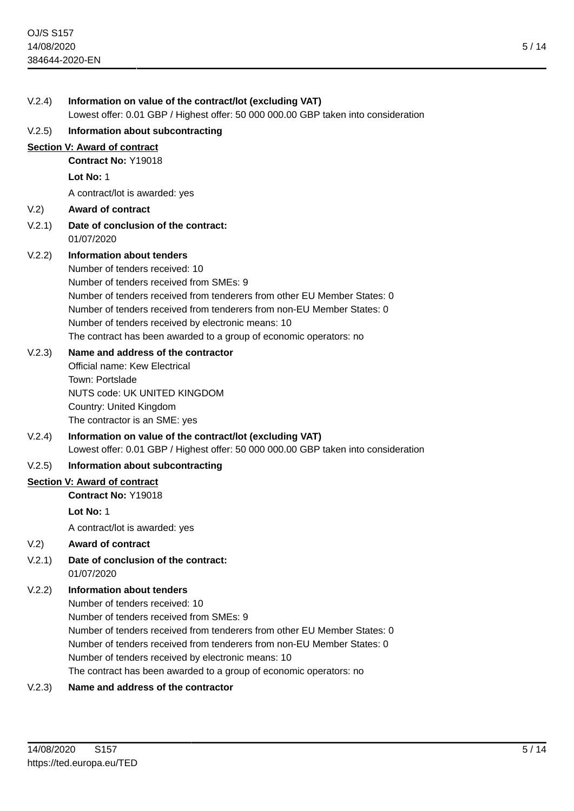| V.2.4) | Information on value of the contract/lot (excluding VAT)<br>Lowest offer: 0.01 GBP / Highest offer: 50 000 000.00 GBP taken into consideration                                                                                                               |
|--------|--------------------------------------------------------------------------------------------------------------------------------------------------------------------------------------------------------------------------------------------------------------|
| V.2.5) | Information about subcontracting                                                                                                                                                                                                                             |
|        | Section V: Award of contract                                                                                                                                                                                                                                 |
|        | Contract No: Y19018                                                                                                                                                                                                                                          |
|        | Lot No: $1$                                                                                                                                                                                                                                                  |
|        | A contract/lot is awarded: yes                                                                                                                                                                                                                               |
| V.2)   | <b>Award of contract</b>                                                                                                                                                                                                                                     |
| V.2.1) | Date of conclusion of the contract:<br>01/07/2020                                                                                                                                                                                                            |
| V.2.2) | Information about tenders<br>Number of tenders received: 10<br>Number of tenders received from SMEs: 9<br>Number of tenders received from tenderers from other EU Member States: 0<br>Number of tenders received from tenderers from non-EU Member States: 0 |
|        | Number of tenders received by electronic means: 10<br>The contract has been awarded to a group of economic operators: no                                                                                                                                     |
| V.2.3) | Name and address of the contractor<br>Official name: Kew Electrical<br>Town: Portslade<br><b>NUTS code: UK UNITED KINGDOM</b><br>Country: United Kingdom<br>The contractor is an SME: yes                                                                    |
| V.2.4) | Information on value of the contract/lot (excluding VAT)<br>Lowest offer: 0.01 GBP / Highest offer: 50 000 000.00 GBP taken into consideration                                                                                                               |
| V.2.5) | Information about subcontracting                                                                                                                                                                                                                             |
|        | Section V: Award of contract                                                                                                                                                                                                                                 |
|        | Contract No: Y19018                                                                                                                                                                                                                                          |
|        | Lot No: $1$                                                                                                                                                                                                                                                  |
|        | A contract/lot is awarded: yes                                                                                                                                                                                                                               |
| V.2)   | <b>Award of contract</b>                                                                                                                                                                                                                                     |
| V.2.1) | Date of conclusion of the contract:<br>01/07/2020                                                                                                                                                                                                            |
| V.2.2) | Information about tenders<br>Number of tenders received: 10<br>Number of tenders received from SMEs: 9<br>Number of tenders received from tenderers from other EU Member States: 0                                                                           |

Number of tenders received from tenderers from non-EU Member States: 0

Number of tenders received by electronic means: 10

The contract has been awarded to a group of economic operators: no

# V.2.3) **Name and address of the contractor**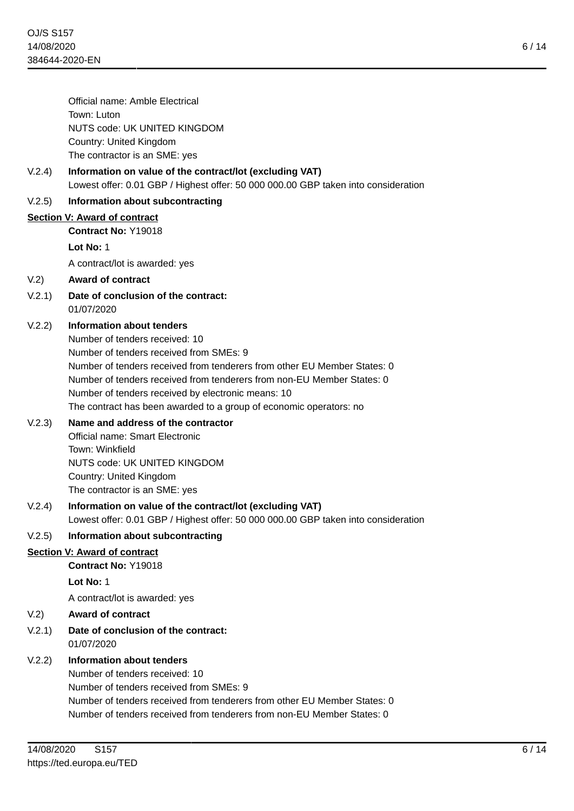6 / 14

Official name: Amble Electrical Town: Luton NUTS code: UK UNITED KINGDOM Country: United Kingdom The contractor is an SME: yes

### V.2.4) **Information on value of the contract/lot (excluding VAT)** Lowest offer: 0.01 GBP / Highest offer: 50 000 000.00 GBP taken into consideration

### V.2.5) **Information about subcontracting**

### **Section V: Award of contract**

**Contract No:** Y19018

### **Lot No:** 1

A contract/lot is awarded: yes

### V.2) **Award of contract**

V.2.1) **Date of conclusion of the contract:** 01/07/2020

### V.2.2) **Information about tenders**

Number of tenders received: 10 Number of tenders received from SMEs: 9 Number of tenders received from tenderers from other EU Member States: 0 Number of tenders received from tenderers from non-EU Member States: 0 Number of tenders received by electronic means: 10 The contract has been awarded to a group of economic operators: no

### V.2.3) **Name and address of the contractor**

Official name: Smart Electronic Town: Winkfield NUTS code: UK UNITED KINGDOM Country: United Kingdom The contractor is an SME: yes

### V.2.4) **Information on value of the contract/lot (excluding VAT)** Lowest offer: 0.01 GBP / Highest offer: 50 000 000.00 GBP taken into consideration

V.2.5) **Information about subcontracting**

### **Section V: Award of contract**

**Contract No:** Y19018

**Lot No:** 1

A contract/lot is awarded: yes

### V.2) **Award of contract**

V.2.1) **Date of conclusion of the contract:** 01/07/2020

### V.2.2) **Information about tenders**

Number of tenders received: 10 Number of tenders received from SMEs: 9 Number of tenders received from tenderers from other EU Member States: 0 Number of tenders received from tenderers from non-EU Member States: 0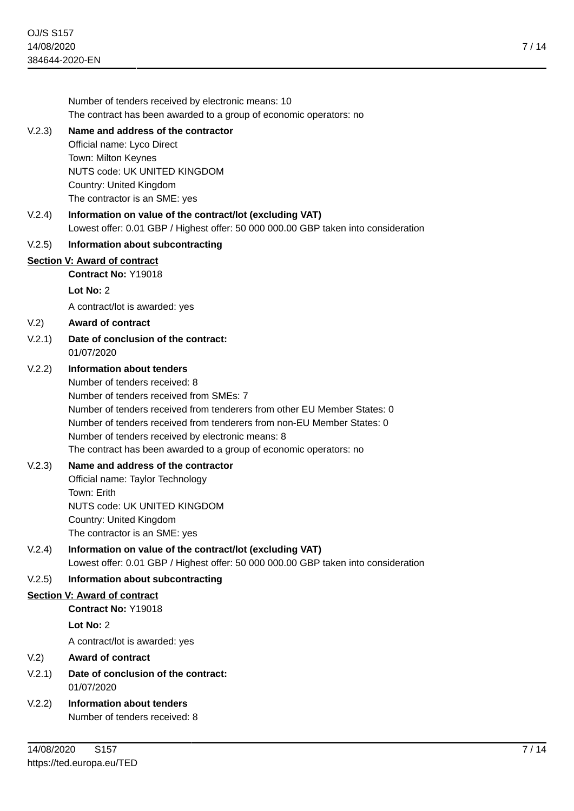Number of tenders received by electronic means: 10 The contract has been awarded to a group of economic operators: no V.2.3) **Name and address of the contractor** Official name: Lyco Direct Town: Milton Keynes NUTS code: UK UNITED KINGDOM Country: United Kingdom The contractor is an SME: yes V.2.4) **Information on value of the contract/lot (excluding VAT)** Lowest offer: 0.01 GBP / Highest offer: 50 000 000.00 GBP taken into consideration V.2.5) **Information about subcontracting Section V: Award of contract Contract No:** Y19018 **Lot No:** 2 A contract/lot is awarded: yes V.2) **Award of contract** V.2.1) **Date of conclusion of the contract:** 01/07/2020 V.2.2) **Information about tenders** Number of tenders received: 8 Number of tenders received from SMEs: 7 Number of tenders received from tenderers from other EU Member States: 0 Number of tenders received from tenderers from non-EU Member States: 0 Number of tenders received by electronic means: 8 The contract has been awarded to a group of economic operators: no V.2.3) **Name and address of the contractor** Official name: Taylor Technology Town: Erith NUTS code: UK UNITED KINGDOM Country: United Kingdom The contractor is an SME: yes V.2.4) **Information on value of the contract/lot (excluding VAT)** Lowest offer: 0.01 GBP / Highest offer: 50 000 000.00 GBP taken into consideration V.2.5) **Information about subcontracting Section V: Award of contract Contract No:** Y19018 **Lot No:** 2 A contract/lot is awarded: yes V.2) **Award of contract** V.2.1) **Date of conclusion of the contract:** 01/07/2020 V.2.2) **Information about tenders** Number of tenders received: 8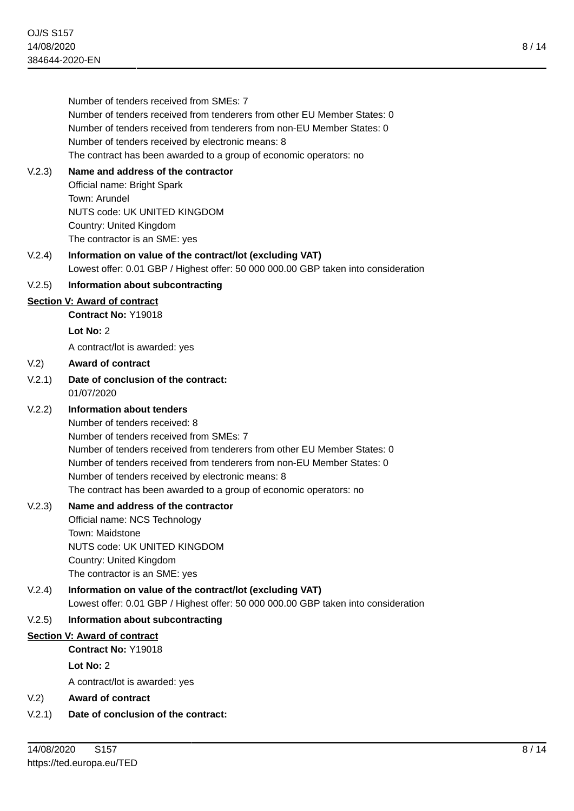|        | Number of tenders received from SMEs: 7<br>Number of tenders received from tenderers from other EU Member States: 0<br>Number of tenders received from tenderers from non-EU Member States: 0<br>Number of tenders received by electronic means: 8<br>The contract has been awarded to a group of economic operators: no                                                                      |
|--------|-----------------------------------------------------------------------------------------------------------------------------------------------------------------------------------------------------------------------------------------------------------------------------------------------------------------------------------------------------------------------------------------------|
| V.2.3) | Name and address of the contractor<br>Official name: Bright Spark<br>Town: Arundel<br>NUTS code: UK UNITED KINGDOM<br>Country: United Kingdom<br>The contractor is an SME: yes                                                                                                                                                                                                                |
| V.2.4) | Information on value of the contract/lot (excluding VAT)<br>Lowest offer: 0.01 GBP / Highest offer: 50 000 000.00 GBP taken into consideration                                                                                                                                                                                                                                                |
| V.2.5) | Information about subcontracting                                                                                                                                                                                                                                                                                                                                                              |
|        | <b>Section V: Award of contract</b>                                                                                                                                                                                                                                                                                                                                                           |
|        | <b>Contract No: Y19018</b>                                                                                                                                                                                                                                                                                                                                                                    |
|        | Lot No: $2$                                                                                                                                                                                                                                                                                                                                                                                   |
|        | A contract/lot is awarded: yes                                                                                                                                                                                                                                                                                                                                                                |
| V.2)   | <b>Award of contract</b>                                                                                                                                                                                                                                                                                                                                                                      |
| V.2.1) | Date of conclusion of the contract:<br>01/07/2020                                                                                                                                                                                                                                                                                                                                             |
| V.2.2) | <b>Information about tenders</b><br>Number of tenders received: 8<br>Number of tenders received from SMEs: 7<br>Number of tenders received from tenderers from other EU Member States: 0<br>Number of tenders received from tenderers from non-EU Member States: 0<br>Number of tenders received by electronic means: 8<br>The contract has been awarded to a group of economic operators: no |
| V.2.3) | Name and address of the contractor<br>Official name: NCS Technology<br>Town: Maidstone<br>NUTS code: UK UNITED KINGDOM<br>Country: United Kingdom<br>The contractor is an SME: yes                                                                                                                                                                                                            |
| V.2.4) | Information on value of the contract/lot (excluding VAT)<br>Lowest offer: 0.01 GBP / Highest offer: 50 000 000.00 GBP taken into consideration                                                                                                                                                                                                                                                |
| V.2.5) | Information about subcontracting                                                                                                                                                                                                                                                                                                                                                              |
|        | <b>Section V: Award of contract</b>                                                                                                                                                                                                                                                                                                                                                           |
|        | Contract No: Y19018                                                                                                                                                                                                                                                                                                                                                                           |
|        | Lot No: 2                                                                                                                                                                                                                                                                                                                                                                                     |
|        | A contract/lot is awarded: yes                                                                                                                                                                                                                                                                                                                                                                |
| V.2)   | <b>Award of contract</b>                                                                                                                                                                                                                                                                                                                                                                      |
| V.2.1) | Date of conclusion of the contract:                                                                                                                                                                                                                                                                                                                                                           |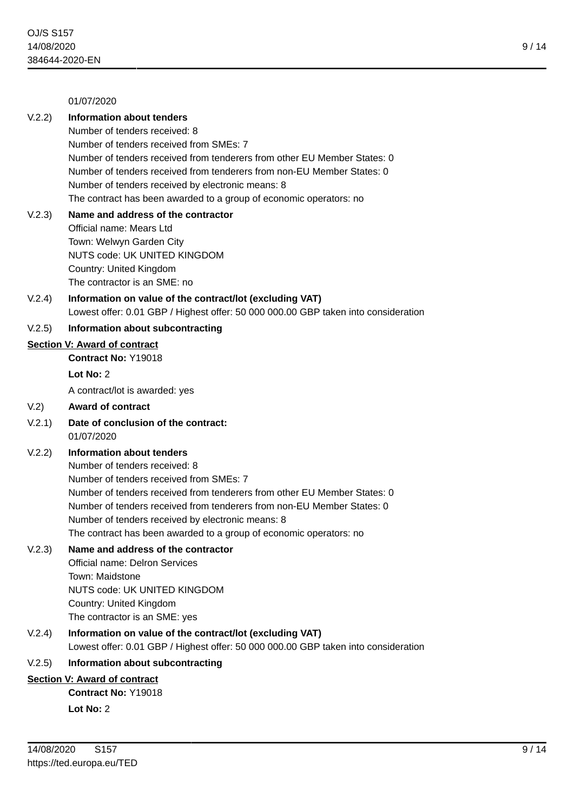#### 01/07/2020

### V.2.2) **Information about tenders**

Number of tenders received: 8 Number of tenders received from SMEs: 7 Number of tenders received from tenderers from other EU Member States: 0 Number of tenders received from tenderers from non-EU Member States: 0 Number of tenders received by electronic means: 8 The contract has been awarded to a group of economic operators: no

### V.2.3) **Name and address of the contractor** Official name: Mears Ltd Town: Welwyn Garden City NUTS code: UK UNITED KINGDOM Country: United Kingdom The contractor is an SME: no

### V.2.4) **Information on value of the contract/lot (excluding VAT)** Lowest offer: 0.01 GBP / Highest offer: 50 000 000.00 GBP taken into consideration

#### V.2.5) **Information about subcontracting**

#### **Section V: Award of contract**

**Contract No:** Y19018

# **Lot No:** 2

A contract/lot is awarded: yes

#### V.2) **Award of contract**

V.2.1) **Date of conclusion of the contract:** 01/07/2020

### V.2.2) **Information about tenders**

Number of tenders received: 8 Number of tenders received from SMEs: 7 Number of tenders received from tenderers from other EU Member States: 0 Number of tenders received from tenderers from non-EU Member States: 0 Number of tenders received by electronic means: 8 The contract has been awarded to a group of economic operators: no

### V.2.3) **Name and address of the contractor**

Official name: Delron Services Town: Maidstone NUTS code: UK UNITED KINGDOM Country: United Kingdom The contractor is an SME: yes

### V.2.4) **Information on value of the contract/lot (excluding VAT)** Lowest offer: 0.01 GBP / Highest offer: 50 000 000.00 GBP taken into consideration

### V.2.5) **Information about subcontracting**

### **Section V: Award of contract**

**Contract No:** Y19018 **Lot No:** 2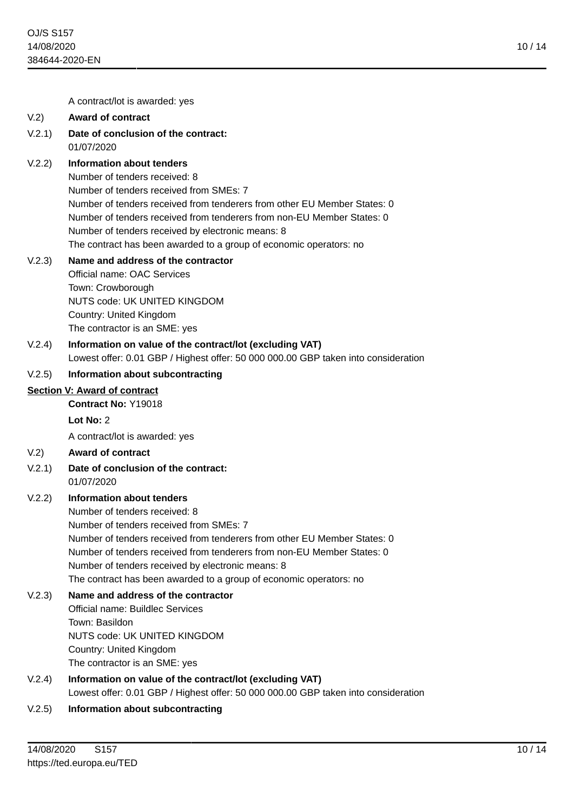10 / 14

A contract/lot is awarded: yes

#### V.2) **Award of contract**

V.2.1) **Date of conclusion of the contract:** 01/07/2020

### V.2.2) **Information about tenders**

Number of tenders received: 8 Number of tenders received from SMEs: 7 Number of tenders received from tenderers from other EU Member States: 0 Number of tenders received from tenderers from non-EU Member States: 0 Number of tenders received by electronic means: 8 The contract has been awarded to a group of economic operators: no

#### V.2.3) **Name and address of the contractor**

Official name: OAC Services Town: Crowborough NUTS code: UK UNITED KINGDOM Country: United Kingdom The contractor is an SME: yes

V.2.4) **Information on value of the contract/lot (excluding VAT)** Lowest offer: 0.01 GBP / Highest offer: 50 000 000.00 GBP taken into consideration

### V.2.5) **Information about subcontracting**

#### **Section V: Award of contract**

**Contract No:** Y19018

**Lot No:** 2

A contract/lot is awarded: yes

- V.2) **Award of contract**
- V.2.1) **Date of conclusion of the contract:** 01/07/2020
- V.2.2) **Information about tenders**

Number of tenders received: 8

Number of tenders received from SMEs: 7 Number of tenders received from tenderers from other EU Member States: 0 Number of tenders received from tenderers from non-EU Member States: 0 Number of tenders received by electronic means: 8 The contract has been awarded to a group of economic operators: no

# V.2.3) **Name and address of the contractor**

Official name: Buildlec Services Town: Basildon NUTS code: UK UNITED KINGDOM Country: United Kingdom The contractor is an SME: yes

- V.2.4) **Information on value of the contract/lot (excluding VAT)** Lowest offer: 0.01 GBP / Highest offer: 50 000 000.00 GBP taken into consideration
- V.2.5) **Information about subcontracting**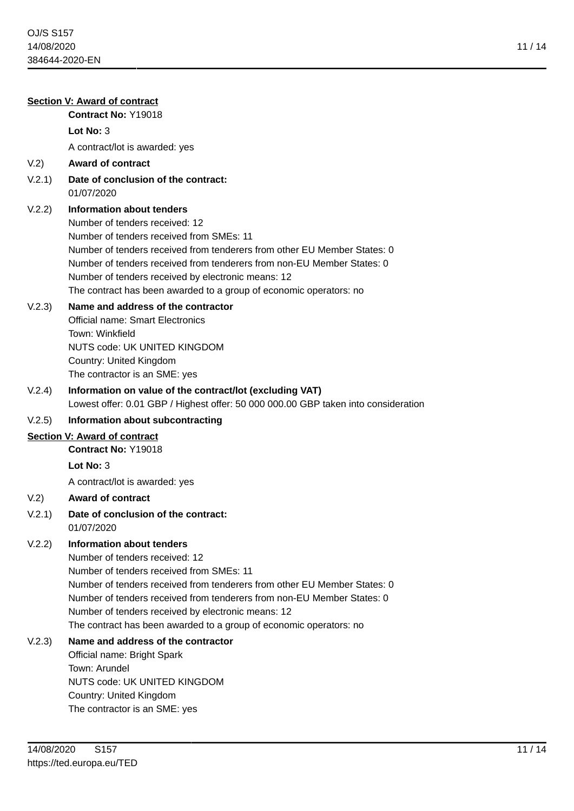| <b>Section V: Award of contract</b> |                                                                                                                                                                                                                                                                                                                                                                                           |  |
|-------------------------------------|-------------------------------------------------------------------------------------------------------------------------------------------------------------------------------------------------------------------------------------------------------------------------------------------------------------------------------------------------------------------------------------------|--|
|                                     | Contract No: Y19018<br>Lot $No: 3$                                                                                                                                                                                                                                                                                                                                                        |  |
|                                     |                                                                                                                                                                                                                                                                                                                                                                                           |  |
|                                     | A contract/lot is awarded: yes<br><b>Award of contract</b>                                                                                                                                                                                                                                                                                                                                |  |
| V.2)                                | Date of conclusion of the contract:                                                                                                                                                                                                                                                                                                                                                       |  |
| V.2.1)                              | 01/07/2020                                                                                                                                                                                                                                                                                                                                                                                |  |
| V.2.2)                              | Information about tenders<br>Number of tenders received: 12<br>Number of tenders received from SMEs: 11<br>Number of tenders received from tenderers from other EU Member States: 0<br>Number of tenders received from tenderers from non-EU Member States: 0<br>Number of tenders received by electronic means: 12<br>The contract has been awarded to a group of economic operators: no |  |
| V.2.3)                              | Name and address of the contractor<br><b>Official name: Smart Electronics</b><br>Town: Winkfield<br>NUTS code: UK UNITED KINGDOM<br>Country: United Kingdom<br>The contractor is an SME: yes                                                                                                                                                                                              |  |
| V.2.4)                              | Information on value of the contract/lot (excluding VAT)<br>Lowest offer: 0.01 GBP / Highest offer: 50 000 000.00 GBP taken into consideration                                                                                                                                                                                                                                            |  |
| V.2.5)                              | Information about subcontracting                                                                                                                                                                                                                                                                                                                                                          |  |
|                                     | Section V: Award of contract                                                                                                                                                                                                                                                                                                                                                              |  |
|                                     | Contract No: Y19018                                                                                                                                                                                                                                                                                                                                                                       |  |
|                                     | Lot $No: 3$                                                                                                                                                                                                                                                                                                                                                                               |  |
|                                     | A contract/lot is awarded: yes                                                                                                                                                                                                                                                                                                                                                            |  |
| V <sub>1</sub> 2)                   | <b>Award of contract</b>                                                                                                                                                                                                                                                                                                                                                                  |  |
| V.2.1)                              | Date of conclusion of the contract:<br>01/07/2020                                                                                                                                                                                                                                                                                                                                         |  |
| V.2.2)                              | Information about tenders<br>Number of tenders received: 12<br>Number of tenders received from SMEs: 11<br>Number of tenders received from tenderers from other EU Member States: 0<br>Number of tenders received from tenderers from non-EU Member States: 0<br>Number of tenders received by electronic means: 12<br>The contract has been awarded to a group of economic operators: no |  |
| V.2.3)                              | Name and address of the contractor<br>Official name: Bright Spark<br>Town: Arundel<br>NUTS code: UK UNITED KINGDOM<br>Country: United Kingdom<br>The contractor is an SME: yes                                                                                                                                                                                                            |  |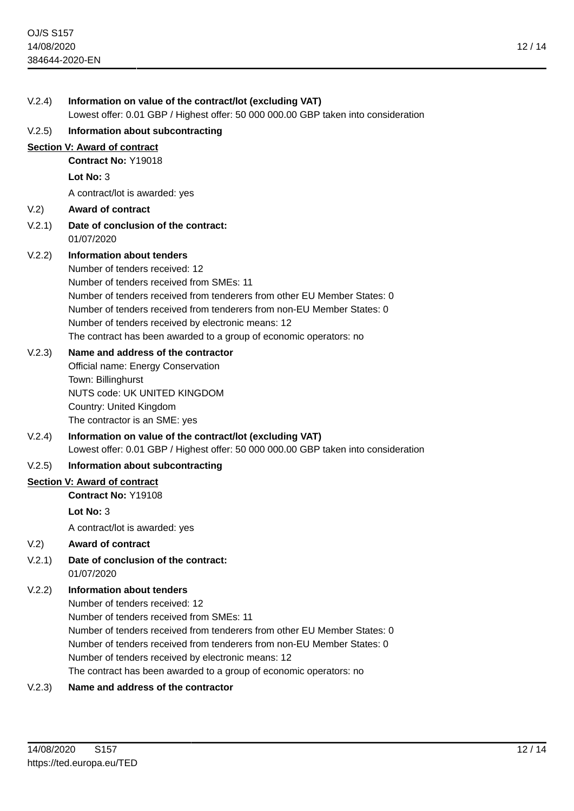| V.2.4) | Information on value of the contract/lot (excluding VAT)<br>Lowest offer: 0.01 GBP / Highest offer: 50 000 000.00 GBP taken into consideration                                                                                                                                                                                                                                            |
|--------|-------------------------------------------------------------------------------------------------------------------------------------------------------------------------------------------------------------------------------------------------------------------------------------------------------------------------------------------------------------------------------------------|
| V.2.5) | Information about subcontracting                                                                                                                                                                                                                                                                                                                                                          |
|        | Section V: Award of contract                                                                                                                                                                                                                                                                                                                                                              |
|        | Contract No: Y19018                                                                                                                                                                                                                                                                                                                                                                       |
|        | Lot No: $3$                                                                                                                                                                                                                                                                                                                                                                               |
|        | A contract/lot is awarded: yes                                                                                                                                                                                                                                                                                                                                                            |
| V.2)   | <b>Award of contract</b>                                                                                                                                                                                                                                                                                                                                                                  |
| V.2.1) | Date of conclusion of the contract:<br>01/07/2020                                                                                                                                                                                                                                                                                                                                         |
| V.2.2) | Information about tenders<br>Number of tenders received: 12<br>Number of tenders received from SMEs: 11<br>Number of tenders received from tenderers from other EU Member States: 0<br>Number of tenders received from tenderers from non-EU Member States: 0<br>Number of tenders received by electronic means: 12<br>The contract has been awarded to a group of economic operators: no |
| V.2.3) | Name and address of the contractor<br>Official name: Energy Conservation<br>Town: Billinghurst<br>NUTS code: UK UNITED KINGDOM<br>Country: United Kingdom<br>The contractor is an SME: yes                                                                                                                                                                                                |
| V.2.4) | Information on value of the contract/lot (excluding VAT)<br>Lowest offer: 0.01 GBP / Highest offer: 50 000 000.00 GBP taken into consideration                                                                                                                                                                                                                                            |
| V.2.5) | Information about subcontracting                                                                                                                                                                                                                                                                                                                                                          |
|        | Section V: Award of contract                                                                                                                                                                                                                                                                                                                                                              |
|        | Contract No: Y19108                                                                                                                                                                                                                                                                                                                                                                       |
|        | Lot No: $3$                                                                                                                                                                                                                                                                                                                                                                               |
|        | A contract/lot is awarded: yes                                                                                                                                                                                                                                                                                                                                                            |
| V.2)   | <b>Award of contract</b>                                                                                                                                                                                                                                                                                                                                                                  |
| V.2.1) | Date of conclusion of the contract:<br>01/07/2020                                                                                                                                                                                                                                                                                                                                         |
| V.2.2) | <b>Information about tenders</b><br>Number of tenders received: 12                                                                                                                                                                                                                                                                                                                        |
|        |                                                                                                                                                                                                                                                                                                                                                                                           |

Number of tenders received from SMEs: 11 Number of tenders received from tenderers from other EU Member States: 0 Number of tenders received from tenderers from non-EU Member States: 0 Number of tenders received by electronic means: 12 The contract has been awarded to a group of economic operators: no

# V.2.3) **Name and address of the contractor**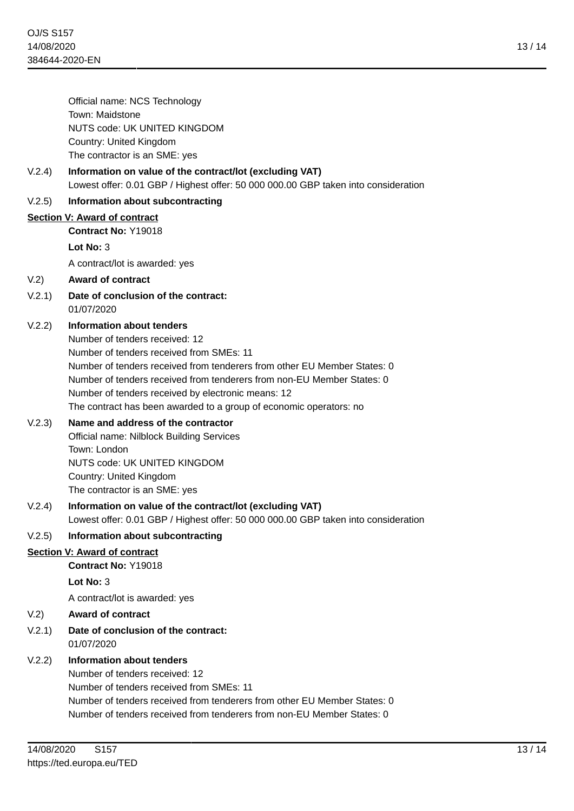Official name: NCS Technology Town: Maidstone NUTS code: UK UNITED KINGDOM Country: United Kingdom The contractor is an SME: yes

### V.2.4) **Information on value of the contract/lot (excluding VAT)** Lowest offer: 0.01 GBP / Highest offer: 50 000 000.00 GBP taken into consideration

### V.2.5) **Information about subcontracting**

### **Section V: Award of contract**

**Contract No:** Y19018

### **Lot No:** 3

A contract/lot is awarded: yes

### V.2) **Award of contract**

V.2.1) **Date of conclusion of the contract:** 01/07/2020

### V.2.2) **Information about tenders**

Number of tenders received: 12 Number of tenders received from SMEs: 11 Number of tenders received from tenderers from other EU Member States: 0 Number of tenders received from tenderers from non-EU Member States: 0 Number of tenders received by electronic means: 12 The contract has been awarded to a group of economic operators: no

### V.2.3) **Name and address of the contractor**

Official name: Nilblock Building Services Town: London NUTS code: UK UNITED KINGDOM Country: United Kingdom The contractor is an SME: yes

V.2.4) **Information on value of the contract/lot (excluding VAT)** Lowest offer: 0.01 GBP / Highest offer: 50 000 000.00 GBP taken into consideration

### V.2.5) **Information about subcontracting**

### **Section V: Award of contract**

**Contract No:** Y19018

**Lot No:** 3

A contract/lot is awarded: yes

### V.2) **Award of contract**

V.2.1) **Date of conclusion of the contract:** 01/07/2020

### V.2.2) **Information about tenders**

Number of tenders received: 12 Number of tenders received from SMEs: 11 Number of tenders received from tenderers from other EU Member States: 0 Number of tenders received from tenderers from non-EU Member States: 0